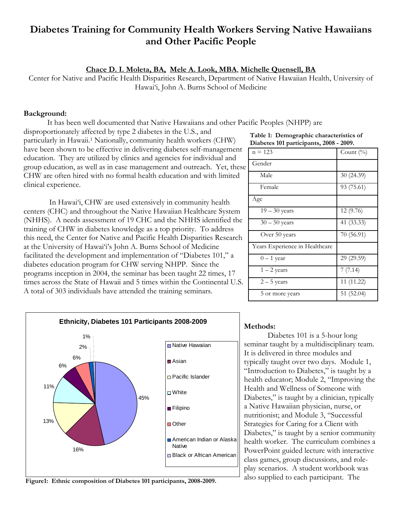# **Diabetes Training for Community Health Workers Serving Native Hawaiians and Other Pacific People**

## **Chace D. I. Moleta, BA, Mele A. Look, MBA**, **Michelle Quensell, BA**

Center for Native and Pacific Health Disparities Research, Department of Native Hawaiian Health, University of Hawai'i, John A. Burns School of Medicine

### **Background:**

It has been well documented that Native Hawaiians and other Pacific Peoples (NHPP) are

disproportionately affected by type 2 diabetes in the U.S., and particularly in Hawaii.1 Nationally, community health workers (CHW) have been shown to be effective in delivering diabetes self-management education. They are utilized by clinics and agencies for individual and group education, as well as in case management and outreach. Yet, these CHW are often hired with no formal health education and with limited clinical experience.

 In Hawai'i, CHW are used extensively in community health centers (CHC) and throughout the Native Hawaiian Healthcare System (NHHS). A needs assessment of 19 CHC and the NHHS identified the training of CHW in diabetes knowledge as a top priority. To address this need, the Center for Native and Pacific Health Disparities Research at the University of Hawai'i's John A. Burns School of Medicine facilitated the development and implementation of "Diabetes 101," a diabetes education program for CHW serving NHPP. Since the programs inception in 2004, the seminar has been taught 22 times, 17 times across the State of Hawaii and 5 times within the Continental U.S. A total of 303 individuals have attended the training seminars.



| $n = 123$                      | Count $(\% )$ |
|--------------------------------|---------------|
| Gender                         |               |
| Male                           | 30 (24.39)    |
| Female                         | 93 (75.61)    |
| Age                            |               |
| $19 - 30$ years                | 12 (9.76)     |
| $30 - 50$ years                | 41 (33.33)    |
| Over 50 years                  | 70 (56.91)    |
| Years Experience in Healthcare |               |
| $0 - 1$ year                   | 29 (29.59)    |
| $1 - 2$ years                  | 7(7.14)       |
| $2-5$ years                    | 11 (11.22)    |
| 5 or more years                | 51(52.04)     |



**Figure1: Ethnic composition of Diabetes 101 participants, 2008-2009.** 

#### **Methods:**

 Diabetes 101 is a 5-hour long seminar taught by a multidisciplinary team. It is delivered in three modules and typically taught over two days. Module 1, "Introduction to Diabetes," is taught by a health educator; Module 2, "Improving the Health and Wellness of Someone with Diabetes," is taught by a clinician, typically a Native Hawaiian physician, nurse, or nutritionist; and Module 3, "Successful Strategies for Caring for a Client with Diabetes," is taught by a senior community health worker. The curriculum combines a PowerPoint guided lecture with interactive class games, group discussions, and roleplay scenarios. A student workbook was also supplied to each participant. The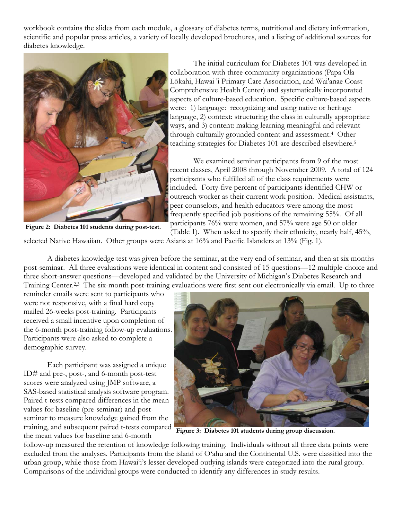workbook contains the slides from each module, a glossary of diabetes terms, nutritional and dietary information, scientific and popular press articles, a variety of locally developed brochures, and a listing of additional sources for diabetes knowledge.



**Figure 2: Diabetes 101 students during post-test.** 

 The initial curriculum for Diabetes 101 was developed in collaboration with three community organizations (Papa Ola Lōkahi, Hawai 'i Primary Care Association, and Wai'anae Coast Comprehensive Health Center) and systematically incorporated aspects of culture-based education. Specific culture-based aspects were: 1) language: recognizing and using native or heritage language, 2) context: structuring the class in culturally appropriate ways, and 3) content: making learning meaningful and relevant through culturally grounded content and assessment.4 Other teaching strategies for Diabetes 101 are described elsewhere.5

 We examined seminar participants from 9 of the most recent classes, April 2008 through November 2009. A total of 124 participants who fulfilled all of the class requirements were included. Forty-five percent of participants identified CHW or outreach worker as their current work position. Medical assistants, peer counselors, and health educators were among the most frequently specified job positions of the remaining 55%. Of all participants 76% were women, and 57% were age 50 or older

(Table 1). When asked to specify their ethnicity, nearly half, 45%, selected Native Hawaiian. Other groups were Asians at 16% and Pacific Islanders at 13% (Fig. 1).

 A diabetes knowledge test was given before the seminar, at the very end of seminar, and then at six months post-seminar. All three evaluations were identical in content and consisted of 15 questions—12 multiple-choice and three short-answer questions—developed and validated by the University of Michigan's Diabetes Research and Training Center.<sup>2,3</sup> The six-month post-training evaluations were first sent out electronically via email. Up to three

reminder emails were sent to participants who were not responsive, with a final hard copy mailed 26-weeks post-training. Participants received a small incentive upon completion of the 6-month post-training follow-up evaluations. Participants were also asked to complete a demographic survey.

 Each participant was assigned a unique ID# and pre-, post-, and 6-month post-test scores were analyzed using JMP software, a SAS-based statistical analysis software program. Paired t-tests compared differences in the mean values for baseline (pre-seminar) and postseminar to measure knowledge gained from the training, and subsequent paired t-tests compared the mean values for baseline and 6-month



**Figure 3: Diabetes 101 students during group discussion.** 

follow-up measured the retention of knowledge following training. Individuals without all three data points were excluded from the analyses. Participants from the island of O'ahu and the Continental U.S. were classified into the urban group, while those from Hawai'i's lesser developed outlying islands were categorized into the rural group. Comparisons of the individual groups were conducted to identify any differences in study results.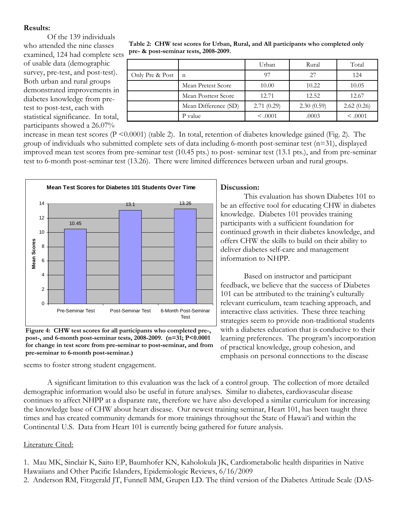## **Results:**

 Of the 139 individuals who attended the nine classes examined, 124 had complete sets of usable data (demographic survey, pre-test, and post-test). Both urban and rural groups demonstrated improvements in diabetes knowledge from pretest to post-test, each with statistical significance. In total, participants showed a 26.07%

| Table 2: CHW test scores for Urban, Rural, and All participants who completed only |
|------------------------------------------------------------------------------------|
| pre- & post-seminar tests, 2008-2009.                                              |

|                 |                      | Urban        | Rural      | Total        |
|-----------------|----------------------|--------------|------------|--------------|
| Only Pre & Post | $\mathbf n$          | 97           | 27         | 124          |
|                 | Mean Pretest Score   | 10.00        | 10.22      | 10.05        |
|                 | Mean Posttest Score  | 12.71        | 12.52      | 12.67        |
|                 | Mean Difference (SD) | 2.71(0.29)   | 2.30(0.59) | 2.62(0.26)   |
|                 | P value              | $\leq 0.001$ | .0003      | $\leq 0.001$ |

increase in mean test scores  $(P \le 0.0001)$  (table 2). In total, retention of diabetes knowledge gained (Fig. 2). The group of individuals who submitted complete sets of data including 6-month post-seminar test (n=31), displayed improved mean test scores from pre-seminar test (10.45 pts.) to post- seminar test (13.1 pts.), and from pre-seminar test to 6-month post-seminar test (13.26). There were limited differences between urban and rural groups.



**Figure 4: CHW test scores for all participants who completed pre-, post-, and 6-month post-seminar tests, 2008-2009. (n=31; P<0.0001 for change in test score from pre-seminar to post-seminar, and from pre-seminar to 6-month post-seminar.)** 

seems to foster strong student engagement.

## **Discussion:**

 This evaluation has shown Diabetes 101 to be an effective tool for educating CHW in diabetes knowledge. Diabetes 101 provides training participants with a sufficient foundation for continued growth in their diabetes knowledge, and offers CHW the skills to build on their ability to deliver diabetes self-care and management information to NHPP.

 Based on instructor and participant feedback, we believe that the success of Diabetes 101 can be attributed to the training's culturally relevant curriculum, team teaching approach, and interactive class activities. These three teaching strategies seem to provide non-traditional students with a diabetes education that is conducive to their learning preferences. The program's incorporation of practical knowledge, group cohesion, and emphasis on personal connections to the disease

 A significant limitation to this evaluation was the lack of a control group. The collection of more detailed demographic information would also be useful in future analyses. Similar to diabetes, cardiovascular disease continues to affect NHPP at a disparate rate, therefore we have also developed a similar curriculum for increasing the knowledge base of CHW about heart disease. Our newest training seminar, Heart 101, has been taught three times and has created community demands for more trainings throughout the State of Hawai'i and within the Continental U.S. Data from Heart 101 is currently being gathered for future analysis.

## Literature Cited:

1. Mau MK, Sinclair K, Saito EP, Baumhofer KN, Kaholokula JK, Cardiometabolic health disparities in Native Hawaiians and Other Pacific Islanders, Epidemiologic Reviews, 6/16/2009

2. Anderson RM, Fitzgerald JT, Funnell MM, Grupen LD. The third version of the Diabetes Attitude Scale (DAS-